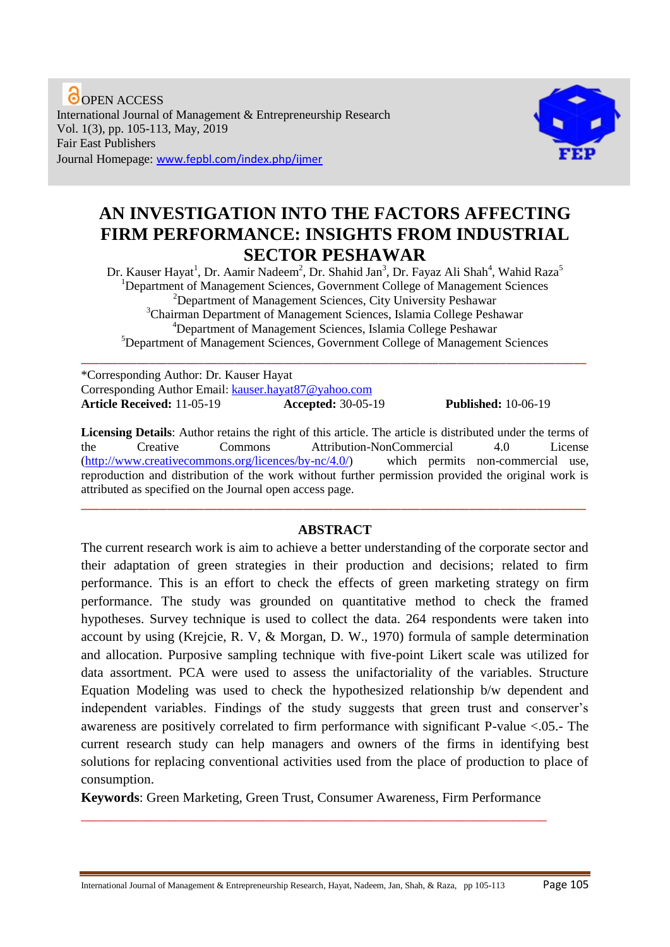**O**OPEN ACCESS International Journal of Management & Entrepreneurship Research Vol. 1(3), pp. 105-113, May, 2019 Fair East Publishers Journal Homepage: www.fepbl.com/index.php/ijmer



# **AN INVESTIGATION INTO THE FACTORS AFFECTING FIRM PERFORMANCE: INSIGHTS FROM INDUSTRIAL SECTOR PESHAWAR**

Dr. Kauser Hayat<sup>1</sup>, Dr. Aamir Nadeem<sup>2</sup>, Dr. Shahid Jan<sup>3</sup>, Dr. Fayaz Ali Shah<sup>4</sup>, Wahid Raza<sup>5</sup> <sup>1</sup>Department of Management Sciences, Government College of Management Sciences <sup>2</sup>Department of Management Sciences, City University Peshawar <sup>3</sup>Chairman Department of Management Sciences, Islamia College Peshawar <sup>4</sup>Department of Management Sciences, Islamia College Peshawar <sup>5</sup>Department of Management Sciences, Government College of Management Sciences

\_\_\_\_\_\_\_\_\_\_\_\_\_\_\_\_\_\_\_\_\_\_\_\_\_\_\_\_\_\_\_\_\_\_\_\_\_\_\_\_\_\_\_\_\_\_\_\_\_\_\_\_\_\_\_\_\_\_\_\_\_\_\_\_\_\_\_\_\_\_\_\_\_\_\_\_\_\_\_\_\_\_

\*Corresponding Author: Dr. Kauser Hayat Corresponding Author Email: [kauser.hayat87@yahoo.com](mailto:kauser.hayat87@yahoo.com) **Article Received:** 11-05-19 **Accepted:** 30-05-19 **Published:** 10-06-19

**Licensing Details**: Author retains the right of this article. The article is distributed under the terms of the Creative Commons Attribution-NonCommercial 4.0 License [\(http://www.creativecommons.org/licences/by-nc/4.0/\)](http://www.creativecommons.org/licences/by-nc/4.0/) which permits non-commercial use, reproduction and distribution of the work without further permission provided the original work is attributed as specified on the Journal open access page.

### **ABSTRACT**

\_\_\_\_\_\_\_\_\_\_\_\_\_\_\_\_\_\_\_\_\_\_\_\_\_\_\_\_\_\_\_\_\_\_\_\_\_\_\_\_\_\_\_\_\_\_\_\_\_\_\_\_\_\_\_\_\_\_\_\_\_\_\_\_\_\_\_\_\_\_\_\_\_\_\_\_\_\_\_\_\_\_

The current research work is aim to achieve a better understanding of the corporate sector and their adaptation of green strategies in their production and decisions; related to firm performance. This is an effort to check the effects of green marketing strategy on firm performance. The study was grounded on quantitative method to check the framed hypotheses. Survey technique is used to collect the data. 264 respondents were taken into account by using (Krejcie, R. V, & Morgan, D. W., 1970) formula of sample determination and allocation. Purposive sampling technique with five-point Likert scale was utilized for data assortment. PCA were used to assess the unifactoriality of the variables. Structure Equation Modeling was used to check the hypothesized relationship b/w dependent and independent variables. Findings of the study suggests that green trust and conserver's awareness are positively correlated to firm performance with significant P-value <.05.- The current research study can help managers and owners of the firms in identifying best solutions for replacing conventional activities used from the place of production to place of consumption.

**Keywords**: Green Marketing, Green Trust, Consumer Awareness, Firm Performance \_\_\_\_\_\_\_\_\_\_\_\_\_\_\_\_\_\_\_\_\_\_\_\_\_\_\_\_\_\_\_\_\_\_\_\_\_\_\_\_\_\_\_\_\_\_\_\_\_\_\_\_\_\_\_\_\_\_\_\_\_\_\_\_\_\_\_\_\_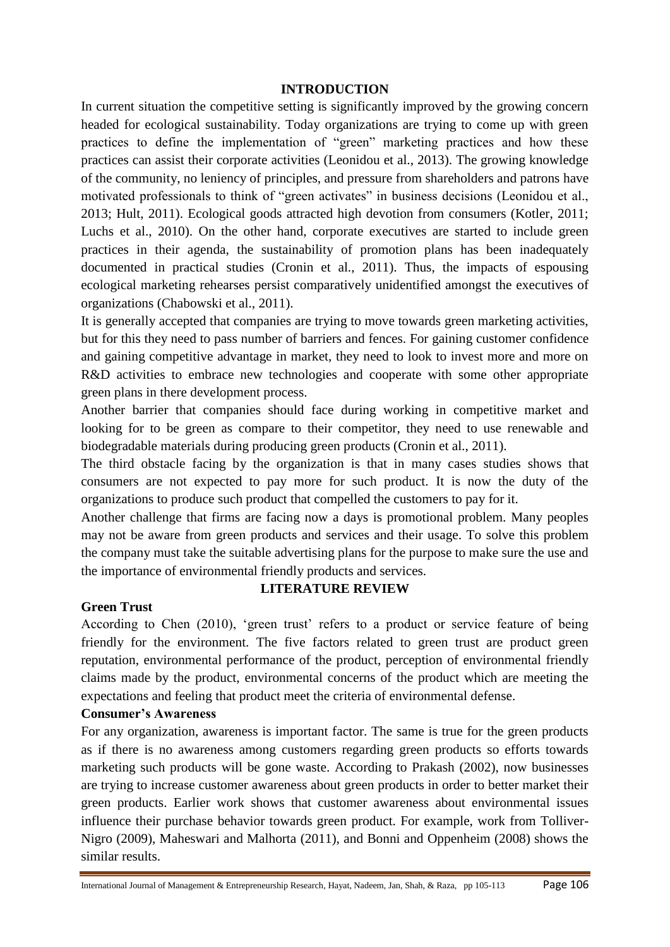#### **INTRODUCTION**

In current situation the competitive setting is significantly improved by the growing concern headed for ecological sustainability. Today organizations are trying to come up with green practices to define the implementation of "green" marketing practices and how these practices can assist their corporate activities (Leonidou et al., 2013). The growing knowledge of the community, no leniency of principles, and pressure from shareholders and patrons have motivated professionals to think of "green activates" in business decisions (Leonidou et al., 2013; Hult, 2011). Ecological goods attracted high devotion from consumers (Kotler, 2011; Luchs et al., 2010). On the other hand, corporate executives are started to include green practices in their agenda, the sustainability of promotion plans has been inadequately documented in practical studies (Cronin et al., 2011). Thus, the impacts of espousing ecological marketing rehearses persist comparatively unidentified amongst the executives of organizations (Chabowski et al., 2011).

It is generally accepted that companies are trying to move towards green marketing activities, but for this they need to pass number of barriers and fences. For gaining customer confidence and gaining competitive advantage in market, they need to look to invest more and more on R&D activities to embrace new technologies and cooperate with some other appropriate green plans in there development process.

Another barrier that companies should face during working in competitive market and looking for to be green as compare to their competitor, they need to use renewable and biodegradable materials during producing green products (Cronin et al., 2011).

The third obstacle facing by the organization is that in many cases studies shows that consumers are not expected to pay more for such product. It is now the duty of the organizations to produce such product that compelled the customers to pay for it.

Another challenge that firms are facing now a days is promotional problem. Many peoples may not be aware from green products and services and their usage. To solve this problem the company must take the suitable advertising plans for the purpose to make sure the use and the importance of environmental friendly products and services.

#### **Green Trust**

#### **LITERATURE REVIEW**

According to Chen (2010), 'green trust' refers to a product or service feature of being friendly for the environment. The five factors related to green trust are product green reputation, environmental performance of the product, perception of environmental friendly claims made by the product, environmental concerns of the product which are meeting the expectations and feeling that product meet the criteria of environmental defense.

#### **Consumer's Awareness**

For any organization, awareness is important factor. The same is true for the green products as if there is no awareness among customers regarding green products so efforts towards marketing such products will be gone waste. According to Prakash (2002), now businesses are trying to increase customer awareness about green products in order to better market their green products. Earlier work shows that customer awareness about environmental issues influence their purchase behavior towards green product. For example, work from Tolliver-Nigro (2009), Maheswari and Malhorta (2011), and Bonni and Oppenheim (2008) shows the similar results.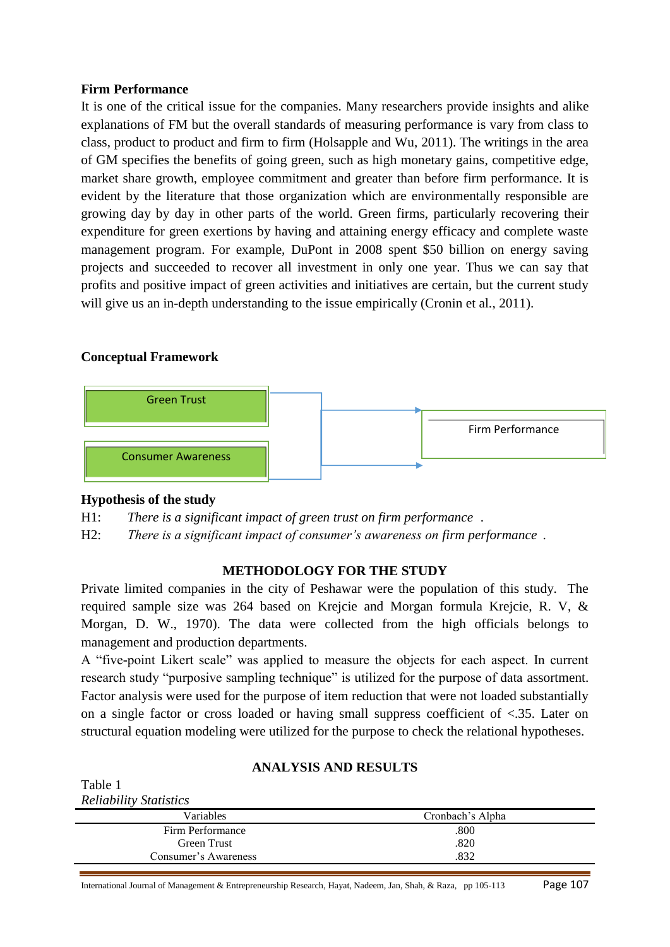#### **Firm Performance**

It is one of the critical issue for the companies. Many researchers provide insights and alike explanations of FM but the overall standards of measuring performance is vary from class to class, product to product and firm to firm (Holsapple and Wu, 2011). The writings in the area of GM specifies the benefits of going green, such as high monetary gains, competitive edge, market share growth, employee commitment and greater than before firm performance. It is evident by the literature that those organization which are environmentally responsible are growing day by day in other parts of the world. Green firms, particularly recovering their expenditure for green exertions by having and attaining energy efficacy and complete waste management program. For example, DuPont in 2008 spent \$50 billion on energy saving projects and succeeded to recover all investment in only one year. Thus we can say that profits and positive impact of green activities and initiatives are certain, but the current study will give us an in-depth understanding to the issue empirically (Cronin et al., 2011).

### **Conceptual Framework**



### **Hypothesis of the study**

H1: There is a significant impact of green trust on firm performance.

H2: There is a significant impact of consumer's awareness on firm performance.

### **METHODOLOGY FOR THE STUDY**

Private limited companies in the city of Peshawar were the population of this study. The required sample size was 264 based on Krejcie and Morgan formula Krejcie, R. V, & Morgan, D. W., 1970). The data were collected from the high officials belongs to management and production departments.

A "five-point Likert scale" was applied to measure the objects for each aspect. In current research study "purposive sampling technique" is utilized for the purpose of data assortment. Factor analysis were used for the purpose of item reduction that were not loaded substantially on a single factor or cross loaded or having small suppress coefficient of <.35. Later on structural equation modeling were utilized for the purpose to check the relational hypotheses.

### **ANALYSIS AND RESULTS**

| Table 1                       |                  |  |
|-------------------------------|------------------|--|
| <b>Reliability Statistics</b> |                  |  |
| Variables                     | Cronbach's Alpha |  |
| Firm Performance              | .800             |  |
| Green Trust                   | .820             |  |
| Consumer's Awareness          | .832             |  |
|                               |                  |  |

International Journal of Management & Entrepreneurship Research, Hayat, Nadeem, Jan, Shah, & Raza, pp 105-113 Page 107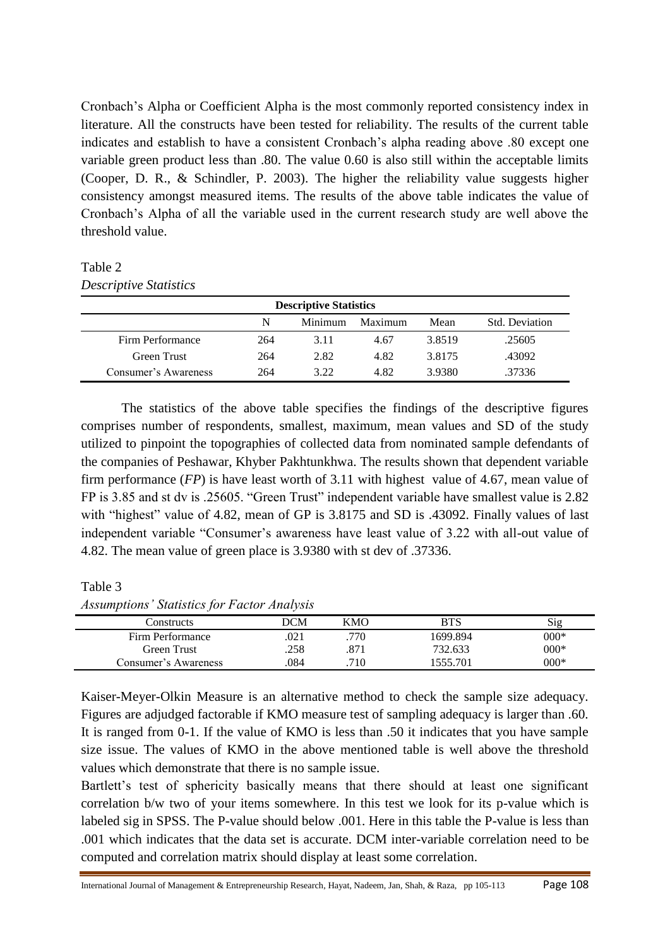Cronbach"s Alpha or Coefficient Alpha is the most commonly reported consistency index in literature. All the constructs have been tested for reliability. The results of the current table indicates and establish to have a consistent Cronbach"s alpha reading above .80 except one variable green product less than .80. The value 0.60 is also still within the acceptable limits (Cooper, D. R., & Schindler, P. 2003). The higher the reliability value suggests higher consistency amongst measured items. The results of the above table indicates the value of Cronbach"s Alpha of all the variable used in the current research study are well above the threshold value.

#### Table 2

| <b>Descriptive Statistics</b>                     |     |      |      |        |        |  |  |
|---------------------------------------------------|-----|------|------|--------|--------|--|--|
| N<br>Maximum<br>Minimum<br>Std. Deviation<br>Mean |     |      |      |        |        |  |  |
| Firm Performance                                  | 264 | 3.11 | 4.67 | 3.8519 | .25605 |  |  |
| Green Trust                                       | 264 | 2.82 | 4.82 | 3.8175 | .43092 |  |  |
| Consumer's Awareness                              | 264 | 3.22 | 4.82 | 3.9380 | .37336 |  |  |

The statistics of the above table specifies the findings of the descriptive figures comprises number of respondents, smallest, maximum, mean values and SD of the study utilized to pinpoint the topographies of collected data from nominated sample defendants of the companies of Peshawar, Khyber Pakhtunkhwa. The results shown that dependent variable firm performance (*FP*) is have least worth of 3.11 with highest value of 4.67, mean value of FP is 3.85 and st dv is .25605. "Green Trust" independent variable have smallest value is 2.82 with "highest" value of 4.82, mean of GP is 3.8175 and SD is .43092. Finally values of last independent variable "Consumer's awareness have least value of 3.22 with all-out value of 4.82. The mean value of green place is 3.9380 with st dev of .37336.

#### Table 3

*Assumptions' Statistics for Factor Analysis"*

| Constructs           | DCM | KMO  | BTS      | Sig    |
|----------------------|-----|------|----------|--------|
| Firm Performance     | 021 | .770 | 1699.894 | $000*$ |
| Green Trust          | 258 | .871 | 732.633  | $000*$ |
| Consumer's Awareness | 084 | .710 | 555.701  | $000*$ |

Kaiser-Meyer-Olkin Measure is an alternative method to check the sample size adequacy. Figures are adjudged factorable if KMO measure test of sampling adequacy is larger than .60. It is ranged from 0-1. If the value of KMO is less than .50 it indicates that you have sample size issue. The values of KMO in the above mentioned table is well above the threshold values which demonstrate that there is no sample issue.

Bartlett's test of sphericity basically means that there should at least one significant correlation b/w two of your items somewhere. In this test we look for its p-value which is labeled sig in SPSS. The P-value should below .001. Here in this table the P-value is less than .001 which indicates that the data set is accurate. DCM inter-variable correlation need to be computed and correlation matrix should display at least some correlation.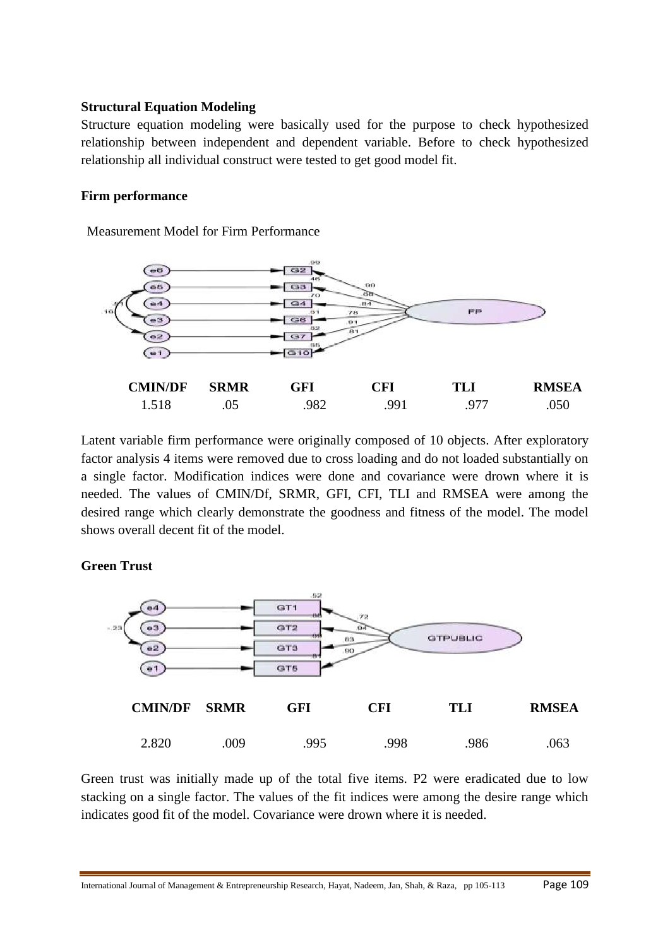#### **Structural Equation Modeling**

Structure equation modeling were basically used for the purpose to check hypothesized relationship between independent and dependent variable. Before to check hypothesized relationship all individual construct were tested to get good model fit.

#### **Firm performance**

**Measurement Model for Firm Performance** 



Latent variable firm performance were originally composed of 10 objects. After exploratory factor analysis 4 items were removed due to cross loading and do not loaded substantially on a single factor. Modification indices were done and covariance were drown where it is needed. The values of CMIN/Df, SRMR, GFI, CFI, TLI and RMSEA were among the desired range which clearly demonstrate the goodness and fitness of the model. The model shows overall decent fit of the model.

#### **Green Trust**



Green trust was initially made up of the total five items. P2 were eradicated due to low stacking on a single factor. The values of the fit indices were among the desire range which indicates good fit of the model. Covariance were drown where it is needed.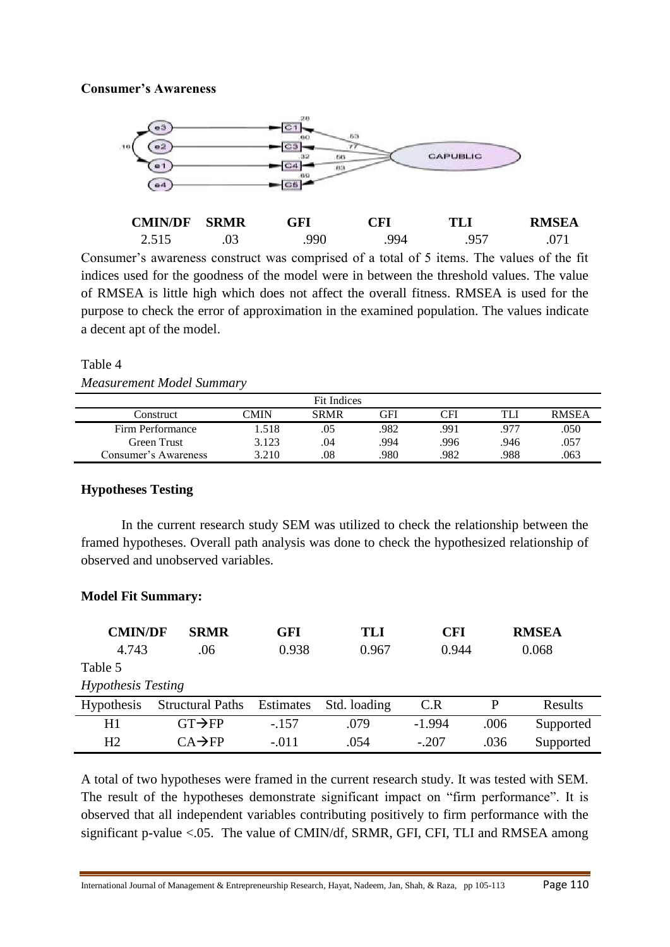### **Consumer's Awareness** "



| <b>CMIN/DF</b> | <b>SRMR</b> | GFI | $\mathbf{T} \mathbf{F} \mathbf{I}$ | TLI | <b>RMSEA</b> |
|----------------|-------------|-----|------------------------------------|-----|--------------|
| 2515<br>ل 1 ک  | .U3         | 990 | 994                                | 957 |              |

Consumer's awareness construct was comprised of a total of 5 items. The values of the fit indices used for the goodness of the model were in between the threshold values. The value of RMSEA is little high which does not affect the overall fitness. RMSEA is used for the purpose to check the error of approximation in the examined population. The values indicate a decent apt of the model.

#### Table 4

*Measurement Model Summary* 

| Fit Indices          |       |             |      |      |      |              |
|----------------------|-------|-------------|------|------|------|--------------|
| Construct            | CMIN  | <b>SRMR</b> | GFI  | CFI  | TLI  | <b>RMSEA</b> |
| Firm Performance     | l.518 | .05         | .982 | .991 | .977 | .050         |
| Green Trust          | 3.123 | .04         | .994 | .996 | 946. | .057         |
| Consumer's Awareness | 3.210 | .08         | .980 | 982  | 988  | .063         |

### **Hypotheses Testing**

In the current research study SEM was utilized to check the relationship between the framed hypotheses. Overall path analysis was done to check the hypothesized relationship of observed and unobserved variables.

### **Model Fit Summary:**

| <b>CMIN/DF</b>            | <b>SRMR</b>             | GFI       | TLI          | <b>CFI</b> |      | <b>RMSEA</b> |
|---------------------------|-------------------------|-----------|--------------|------------|------|--------------|
| 4.743                     | .06                     | 0.938     | 0.967        | 0.944      |      | 0.068        |
| Table 5                   |                         |           |              |            |      |              |
| <b>Hypothesis Testing</b> |                         |           |              |            |      |              |
| <b>Hypothesis</b>         | <b>Structural Paths</b> | Estimates | Std. loading | C.R        | P    | Results      |
| H1                        | $GT \rightarrow FP$     | $-.157$   | .079         | $-1.994$   | .006 | Supported    |
| H2                        | $CA \rightarrow FP$     | $-.011$   | .054         | $-.207$    | .036 | Supported    |

A total of two hypotheses were framed in the current research study. It was tested with SEM. The result of the hypotheses demonstrate significant impact on "firm performance". It is observed that all independent variables contributing positively to firm performance with the significant p-value <.05. The value of CMIN/df, SRMR, GFI, CFI, TLI and RMSEA among

International Journal of Management & Entrepreneurship Research, Hayat, Nadeem, Jan, Shah, & Raza, pp 105-113 Page 110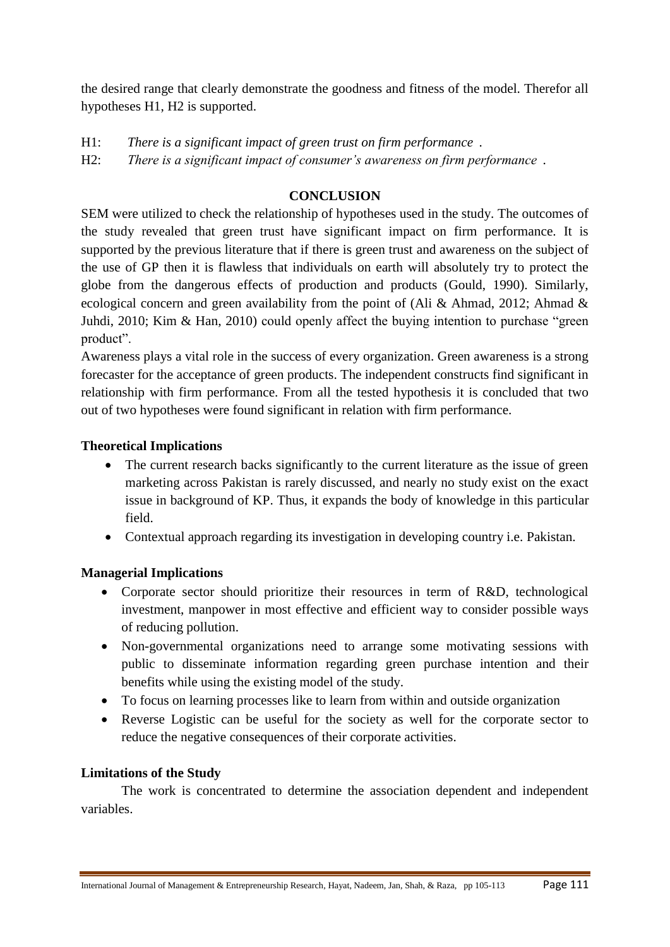the desired range that clearly demonstrate the goodness and fitness of the model. Therefor all hypotheses H1, H2 is supported.

H1: There is a significant impact of green trust on firm performance.

H2: There is a significant impact of consumer's awareness on firm performance.

# **CONCLUSION**

SEM were utilized to check the relationship of hypotheses used in the study. The outcomes of the study revealed that green trust have significant impact on firm performance. It is supported by the previous literature that if there is green trust and awareness on the subject of the use of GP then it is flawless that individuals on earth will absolutely try to protect the globe from the dangerous effects of production and products (Gould, 1990). Similarly, ecological concern and green availability from the point of (Ali & Ahmad, 2012; Ahmad & Juhdi, 2010; Kim & Han, 2010) could openly affect the buying intention to purchase "green product".

Awareness plays a vital role in the success of every organization. Green awareness is a strong forecaster for the acceptance of green products. The independent constructs find significant in relationship with firm performance. From all the tested hypothesis it is concluded that two out of two hypotheses were found significant in relation with firm performance.

### **Theoretical Implications**

- The current research backs significantly to the current literature as the issue of green marketing across Pakistan is rarely discussed, and nearly no study exist on the exact issue in background of KP. Thus, it expands the body of knowledge in this particular field.
- Contextual approach regarding its investigation in developing country i.e. Pakistan.

## **Managerial Implications**

- Corporate sector should prioritize their resources in term of R&D, technological investment, manpower in most effective and efficient way to consider possible ways of reducing pollution.
- Non-governmental organizations need to arrange some motivating sessions with public to disseminate information regarding green purchase intention and their benefits while using the existing model of the study.
- To focus on learning processes like to learn from within and outside organization
- Reverse Logistic can be useful for the society as well for the corporate sector to reduce the negative consequences of their corporate activities.

### **Limitations of the Study**

The work is concentrated to determine the association dependent and independent variables.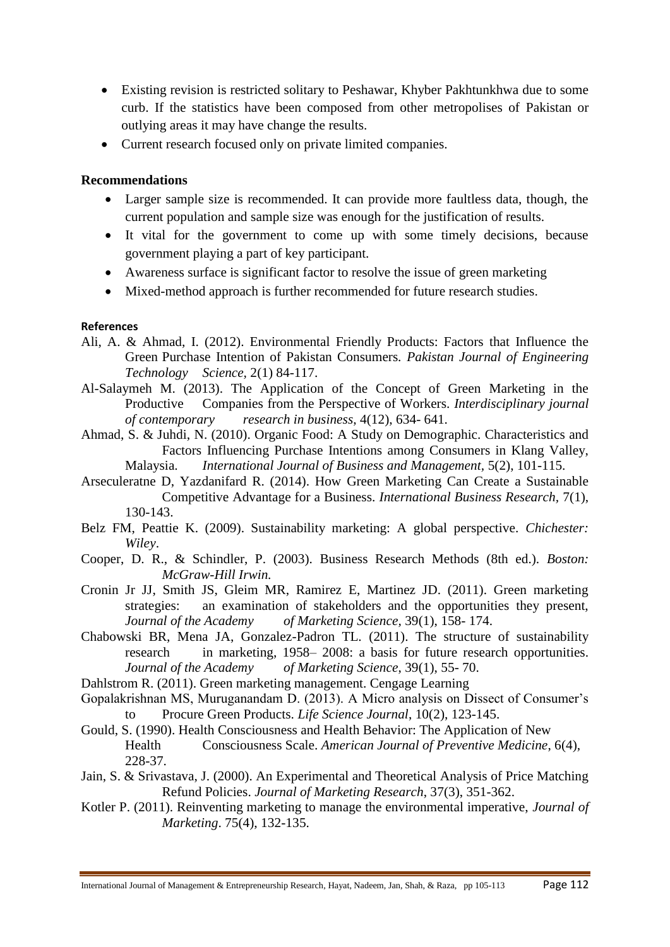- Existing revision is restricted solitary to Peshawar, Khyber Pakhtunkhwa due to some curb. If the statistics have been composed from other metropolises of Pakistan or outlying areas it may have change the results.
- Current research focused only on private limited companies.

#### **Recommendations**

- Larger sample size is recommended. It can provide more faultless data, though, the current population and sample size was enough for the justification of results.
- It vital for the government to come up with some timely decisions, because government playing a part of key participant.
- Awareness surface is significant factor to resolve the issue of green marketing
- Mixed-method approach is further recommended for future research studies.

### **References**

- Ali, A. & Ahmad, I. (2012). Environmental Friendly Products: Factors that Influence the Green Purchase Intention of Pakistan Consumers*. Pakistan Journal of Engineering Technology Science,* 2(1) 84-117.
- Al-Salaymeh M. (2013). The Application of the Concept of Green Marketing in the Productive Companies from the Perspective of Workers. *Interdisciplinary journal of contemporary research in business*, 4(12), 634- 641.
- Ahmad, S. & Juhdi, N. (2010). Organic Food: A Study on Demographic. Characteristics and Factors Influencing Purchase Intentions among Consumers in Klang Valley, Malaysia. *International Journal of Business and Management,* 5(2), 101-115.
- Arseculeratne D, Yazdanifard R. (2014). How Green Marketing Can Create a Sustainable Competitive Advantage for a Business. *International Business Research,* 7(1), 130-143.
- Belz FM, Peattie K. (2009). Sustainability marketing: A global perspective. *Chichester: Wiley*.
- Cooper, D. R., & Schindler, P. (2003). Business Research Methods (8th ed.). *Boston: McGraw-Hill Irwin.*
- Cronin Jr JJ, Smith JS, Gleim MR, Ramirez E, Martinez JD. (2011). Green marketing strategies: an examination of stakeholders and the opportunities they present, *Journal of the Academy of Marketing Science,* 39(1), 158- 174.
- Chabowski BR, Mena JA, Gonzalez-Padron TL. (2011). The structure of sustainability research in marketing, 1958– 2008: a basis for future research opportunities. *Journal of the Academy of Marketing Science*, 39(1), 55- 70.
- Dahlstrom R. (2011). Green marketing management. Cengage Learning
- Gopalakrishnan MS, Muruganandam D. (2013). A Micro analysis on Dissect of Consumer"s to Procure Green Products. *Life Science Journal*, 10(2), 123-145.
- Gould, S. (1990). Health Consciousness and Health Behavior: The Application of New Health Consciousness Scale. *American Journal of Preventive Medicine*, 6(4), 228-37.
- Jain, S. & Srivastava, J. (2000). An Experimental and Theoretical Analysis of Price Matching Refund Policies. *Journal of Marketing Research*, 37(3), 351-362.
- Kotler P. (2011). Reinventing marketing to manage the environmental imperative, *Journal of Marketing*. 75(4), 132-135.